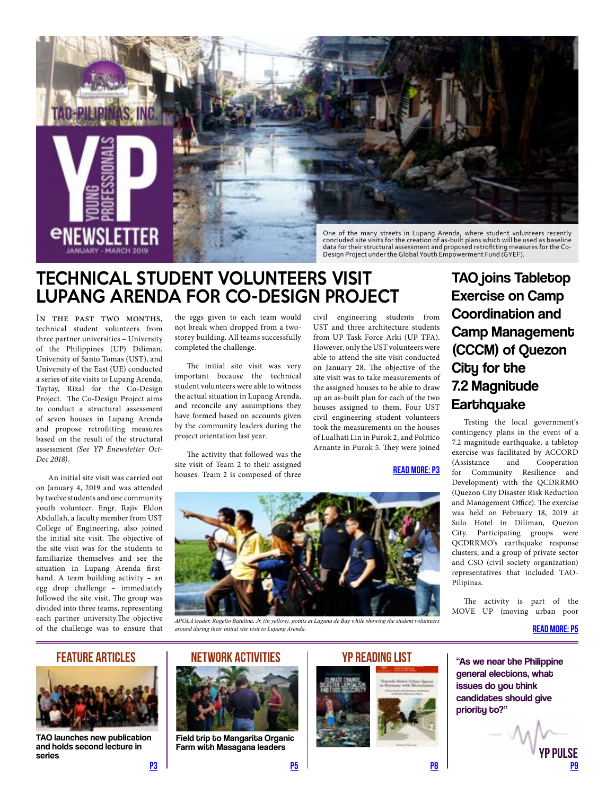<span id="page-0-0"></span>

concluded site visits for the creation of as-built plans which will be used as baseline data for their structural assessment and proposed retrofitting measures for the Co-Design Project under the Global Youth Empowerment Fund (GYEF).

# TECHNICAL STUDENT VOLUNTEERS VISIT LUPANG ARENDA FOR CO-DESIGN PROJECT

IN THE PAST TWO MONTHS, technical student volunteers from three partner universities – University of the Philippines (UP) Diliman, University of Santo Tomas (UST), and University of the East (UE) conducted a series of site visits to Lupang Arenda, Taytay, Rizal for the Co-Design Project. The Co-Design Project aims to conduct a structural assessment of seven houses in Lupang Arenda and propose retrofitting measures based on the result of the structural assessment *(See YP Enewsletter Oct-Dec 2018)*.

An initial site visit was carried out on January 4, 2019 and was attended by twelve students and one community youth volunteer. Engr. Rajiv Eldon Abdullah, a faculty member from UST College of Engineering, also joined the initial site visit. The objective of the site visit was for the students to familiarize themselves and see the situation in Lupang Arenda firsthand. A team building activity – an egg drop challenge – immediately followed the site visit. The group was divided into three teams, representing each partner university.The objective of the challenge was to ensure that the eggs given to each team would not break when dropped from a twostorey building. All teams successfully completed the challenge.

The initial site visit was very important because the technical student volunteers were able to witness the actual situation in Lupang Arenda, and reconcile any assumptions they have formed based on accounts given by the community leaders during the project orientation last year.

The activity that followed was the site visit of Team 2 to their assigned houses. Team 2 is composed of three

civil engineering students from UST and three architecture students from UP Task Force Arki (UP TFA). However, only the UST volunteers were able to attend the site visit conducted on January 28. The objective of the site visit was to take measurements of the assigned houses to be able to draw up an as-built plan for each of the two houses assigned to them. Four UST civil engineering student volunteers took the measurements on the houses of Lualhati Lin in Purok 2, and Politico Arnante in Purok 5. They were joined

[READ MORE: P3](#page-2-0)



*APOLA leader, Rogelio Batulina, Jr. (in yellow), points at Laguna de Bay while showing the student volunteers around during their initial site visit to Lupang Arenda.*

## TAO joins Tabletop Exercise on Camp Coordination and Camp Management (CCCM) of Quezon City for the 7.2 Magnitude **Earthquake**

Testing the local government's contingency plans in the event of a 7.2 magnitude earthquake, a tabletop exercise was facilitated by ACCORD<br>(Assistance and Cooperation Cooperation for Community Resilience and Development) with the QCDRRMO (Quezon City Disaster Risk Reduction and Management Office). The exercise was held on February 18, 2019 at Sulo Hotel in Diliman, Quezon City. Participating groups were QCDRRMO's earthquake response clusters, and a group of private sector and CSO (civil society organization) representatives that included TAO-Pilipinas.

The activity is part of the MOVE UP (moving urban poor

[READ MORE: P5](#page-4-0)

### FEATURE ARTICLES



TAO launches new publication and holds second lecture in series

Field trip to Mangarita Organic Farm with Masagana leaders









[P3](#page-2-0) [P5](#page-4-0) [P8](#page-7-0) [P9](#page-8-0) **P pill SF**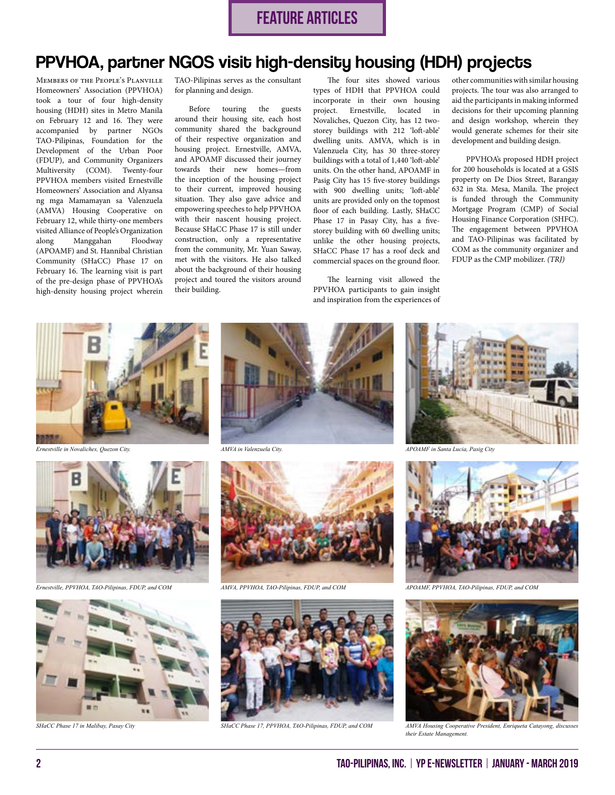## PPVHOA, partner NGOS visit high-density housing (HDH) projects

Members of the People's Planville Homeowners' Association (PPVHOA) took a tour of four high-density housing (HDH) sites in Metro Manila on February 12 and 16. They were accompanied by partner NGOs TAO-Pilipinas, Foundation for the Development of the Urban Poor (FDUP), and Community Organizers Multiversity (COM). Twenty-four PPVHOA members visited Ernestville Homeowners' Association and Alyansa ng mga Mamamayan sa Valenzuela (AMVA) Housing Cooperative on February 12, while thirty-one members visited Alliance of People's Organization along Manggahan Floodway (APOAMF) and St. Hannibal Christian Community (SHaCC) Phase 17 on February 16. The learning visit is part of the pre-design phase of PPVHOA's high-density housing project wherein

TAO-Pilipinas serves as the consultant for planning and design.

Before touring the guests around their housing site, each host community shared the background of their respective organization and housing project. Ernestville, AMVA, and APOAMF discussed their journey towards their new homes—from the inception of the housing project to their current, improved housing situation. They also gave advice and empowering speeches to help PPVHOA with their nascent housing project. Because SHaCC Phase 17 is still under construction, only a representative from the community, Mr. Yuan Saway, met with the visitors. He also talked about the background of their housing project and toured the visitors around their building.

The four sites showed various types of HDH that PPVHOA could incorporate in their own housing project. Ernestville, located in Novaliches, Quezon City, has 12 twostorey buildings with 212 'loft-able' dwelling units. AMVA, which is in Valenzuela City, has 30 three-storey buildings with a total of 1,440 'loft-able' units. On the other hand, APOAMF in Pasig City has 15 five-storey buildings with 900 dwelling units; 'loft-able' units are provided only on the topmost floor of each building. Lastly, SHaCC Phase 17 in Pasay City, has a fivestorey building with 60 dwelling units; unlike the other housing projects, SHaCC Phase 17 has a roof deck and commercial spaces on the ground floor.

The learning visit allowed the PPVHOA participants to gain insight and inspiration from the experiences of other communities with similar housing projects. The tour was also arranged to aid the participants in making informed decisions for their upcoming planning and design workshop, wherein they would generate schemes for their site development and building design.

PPVHOA's proposed HDH project for 200 households is located at a GSIS property on De Dios Street, Barangay 632 in Sta. Mesa, Manila. The project is funded through the Community Mortgage Program (CMP) of Social Housing Finance Corporation (SHFC). The engagement between PPVHOA and TAO-Pilipinas was facilitated by COM as the community organizer and FDUP as the CMP mobilizer. *(TRJ)*



*Ernestville in Novaliches, Quezon City.*



*Ernestville, PPVHOA, TAO-Pilipinas, FDUP, and COM*









*SHaCC Phase 17 in Malibay, Pasay City SHaCC Phase 17, PPVHOA, TAO-Pilipinas, FDUP, and COM AMVA Housing Cooperative President, Enriqueta Catayong, discusses* 



*AMVA in Valenzuela City. APOAMF in Santa Lucia, Pasig City*



*AMVA, PPVHOA, TAO-Pilipinas, FDUP, and COM APOAMF, PPVHOA, TAO-Pilipinas, FDUP, and COM*



*their Estate Management.*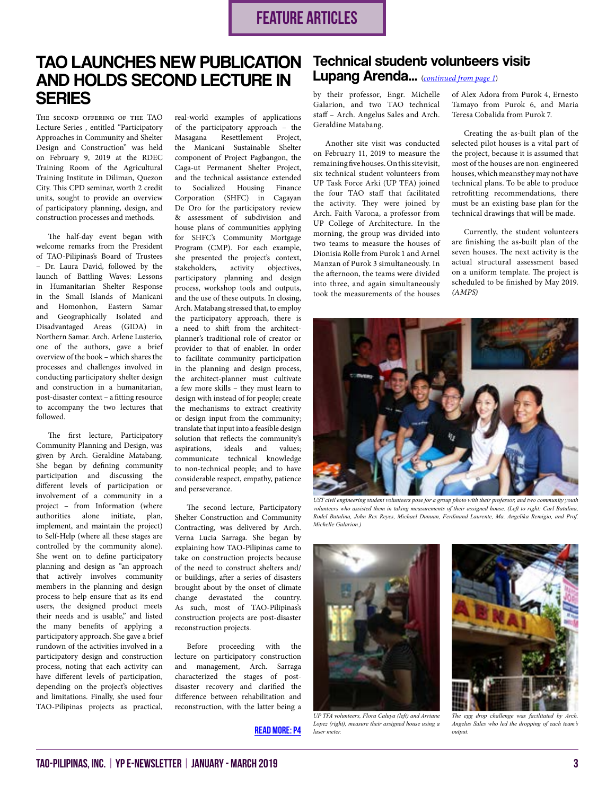# <span id="page-2-0"></span>TAO LAUNCHES NEW PUBLICATION AND HOLDS SECOND LECTURE IN **SERIES**

The second offering of the TAO Lecture Series , entitled "Participatory Approaches in Community and Shelter Design and Construction" was held on February 9, 2019 at the RDEC Training Room of the Agricultural Training Institute in Diliman, Quezon City. This CPD seminar, worth 2 credit units, sought to provide an overview of participatory planning, design, and construction processes and methods.

The half-day event began with welcome remarks from the President of TAO-Pilipinas's Board of Trustees – Dr. Laura David, followed by the launch of Battling Waves: Lessons in Humanitarian Shelter Response in the Small Islands of Manicani and Homonhon, Eastern Samar and Geographically Isolated and Disadvantaged Areas (GIDA) in Northern Samar. Arch. Arlene Lusterio, one of the authors, gave a brief overview of the book – which shares the processes and challenges involved in conducting participatory shelter design and construction in a humanitarian, post-disaster context – a fitting resource to accompany the two lectures that followed.

The first lecture, Participatory Community Planning and Design, was given by Arch. Geraldine Matabang. She began by defining community participation and discussing the different levels of participation or involvement of a community in a project – from Information (where authorities alone initiate, plan, implement, and maintain the project) to Self-Help (where all these stages are controlled by the community alone). She went on to define participatory planning and design as "an approach that actively involves community members in the planning and design process to help ensure that as its end users, the designed product meets their needs and is usable," and listed the many benefits of applying a participatory approach. She gave a brief rundown of the activities involved in a participatory design and construction process, noting that each activity can have different levels of participation, depending on the project's objectives and limitations. Finally, she used four TAO-Pilipinas projects as practical, real-world examples of applications of the participatory approach – the Masagana Resettlement Project, the Manicani Sustainable Shelter component of Project Pagbangon, the Caga-ut Permanent Shelter Project, and the technical assistance extended to Socialized Housing Finance Corporation (SHFC) in Cagayan De Oro for the participatory review & assessment of subdivision and house plans of communities applying for SHFC's Community Mortgage Program (CMP). For each example, she presented the project's context, stakeholders, activity objectives, participatory planning and design process, workshop tools and outputs, and the use of these outputs. In closing, Arch. Matabang stressed that, to employ the participatory approach, there is a need to shift from the architectplanner's traditional role of creator or provider to that of enabler. In order to facilitate community participation in the planning and design process, the architect-planner must cultivate a few more skills – they must learn to design with instead of for people; create the mechanisms to extract creativity or design input from the community; translate that input into a feasible design solution that reflects the community's aspirations, ideals and values; communicate technical knowledge to non-technical people; and to have considerable respect, empathy, patience and perseverance.

The second lecture, Participatory Shelter Construction and Community Contracting, was delivered by Arch. Verna Lucia Sarraga. She began by explaining how TAO-Pilipinas came to take on construction projects because of the need to construct shelters and/ or buildings, after a series of disasters brought about by the onset of climate change devastated the country. As such, most of TAO-Pilipinas's construction projects are post-disaster reconstruction projects.

Before proceeding with the lecture on participatory construction and management, Arch. Sarraga characterized the stages of postdisaster recovery and clarified the difference between rehabilitation and reconstruction, with the latter being a

#### [READ MORE: P4](#page-3-0)

### Technical student volunteers visit Lupang Arenda... (*[continued from page 1](#page-0-0)*)

by their professor, Engr. Michelle Galarion, and two TAO technical staff – Arch. Angelus Sales and Arch. Geraldine Matabang.

Another site visit was conducted on February 11, 2019 to measure the remaining five houses. On this site visit, six technical student volunteers from UP Task Force Arki (UP TFA) joined the four TAO staff that facilitated the activity. They were joined by Arch. Faith Varona, a professor from UP College of Architecture. In the morning, the group was divided into two teams to measure the houses of Dionisia Rolle from Purok 1 and Arnel Manzan of Purok 3 simultaneously. In the afternoon, the teams were divided into three, and again simultaneously took the measurements of the houses

of Alex Adora from Purok 4, Ernesto Tamayo from Purok 6, and Maria Teresa Cobalida from Purok 7.

Creating the as-built plan of the selected pilot houses is a vital part of the project, because it is assumed that most of the houses are non-engineered houses, which meansthey may not have technical plans. To be able to produce retrofitting recommendations, there must be an existing base plan for the technical drawings that will be made.

Currently, the student volunteers are finishing the as-built plan of the seven houses. The next activity is the actual structural assessment based on a uniform template. The project is scheduled to be finished by May 2019. *(AMPS)*



*UST civil engineering student volunteers pose for a group photo with their professor, and two community youth volunteers who assisted them in taking measurements of their assigned house. (Left to right: Carl Batulina, Rodel Batulina, John Rex Reyes, Michael Dunuan, Ferdinand Laurente, Ma. Angelika Remigio, and Prof. Michelle Galarion.)*



*UP TFA volunteers, Flora Caluya (left) and Arriane Lopez (right), measure their assigned house using a laser meter.*



*Angelus Sales who led the dropping of each team's output.*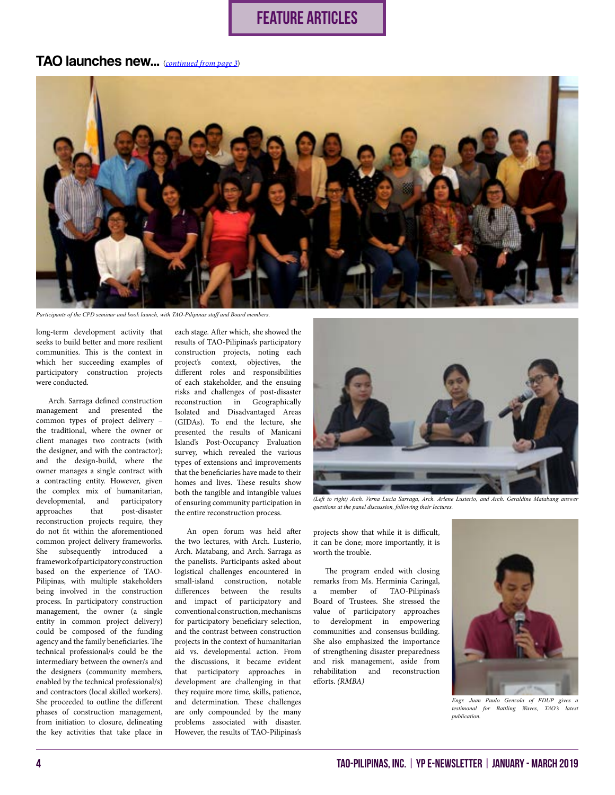## FEATURE ARTICLES

### <span id="page-3-0"></span>TAO launches new... (*[continued from page 3](#page-2-0)*)



*Participants of the CPD seminar and book launch, with TAO-Pilipinas staff and Board members.*

long-term development activity that seeks to build better and more resilient communities. This is the context in which her succeeding examples of participatory construction projects were conducted.

Arch. Sarraga defined construction management and presented the common types of project delivery – the traditional, where the owner or client manages two contracts (with the designer, and with the contractor); and the design-build, where the owner manages a single contract with a contracting entity. However, given the complex mix of humanitarian, developmental, and participatory approaches that post-disaster reconstruction projects require, they do not fit within the aforementioned common project delivery frameworks. She subsequently introduced a framework of participatory construction based on the experience of TAO-Pilipinas, with multiple stakeholders being involved in the construction process. In participatory construction management, the owner (a single entity in common project delivery) could be composed of the funding agency and the family beneficiaries. The technical professional/s could be the intermediary between the owner/s and the designers (community members, enabled by the technical professional/s) and contractors (local skilled workers). She proceeded to outline the different phases of construction management, from initiation to closure, delineating the key activities that take place in each stage. After which, she showed the results of TAO-Pilipinas's participatory construction projects, noting each project's context, objectives, the different roles and responsibilities of each stakeholder, and the ensuing risks and challenges of post-disaster reconstruction in Geographically Isolated and Disadvantaged Areas (GIDAs). To end the lecture, she presented the results of Manicani Island's Post-Occupancy Evaluation survey, which revealed the various types of extensions and improvements that the beneficiaries have made to their homes and lives. These results show both the tangible and intangible values of ensuring community participation in the entire reconstruction process.

An open forum was held after the two lectures, with Arch. Lusterio, Arch. Matabang, and Arch. Sarraga as the panelists. Participants asked about logistical challenges encountered in small-island construction, notable differences between the results and impact of participatory and conventional construction, mechanisms for participatory beneficiary selection, and the contrast between construction projects in the context of humanitarian aid vs. developmental action. From the discussions, it became evident that participatory approaches in development are challenging in that they require more time, skills, patience, and determination. These challenges are only compounded by the many problems associated with disaster. However, the results of TAO-Pilipinas's



*(Left to right) Arch. Verna Lucia Sarraga, Arch. Arlene Lusterio, and Arch. Geraldine Matabang answer questions at the panel discussion, following their lectures.*

projects show that while it is difficult, it can be done; more importantly, it is worth the trouble.

The program ended with closing remarks from Ms. Herminia Caringal, a member of TAO-Pilipinas's Board of Trustees. She stressed the value of participatory approaches to development in empowering communities and consensus-building. She also emphasized the importance of strengthening disaster preparedness and risk management, aside from rehabilitation and reconstruction efforts. *(RMBA)*



*Engr. Juan Paulo Genzola of FDUP gives a testimonal for Battling Waves, TAO's latest publication.*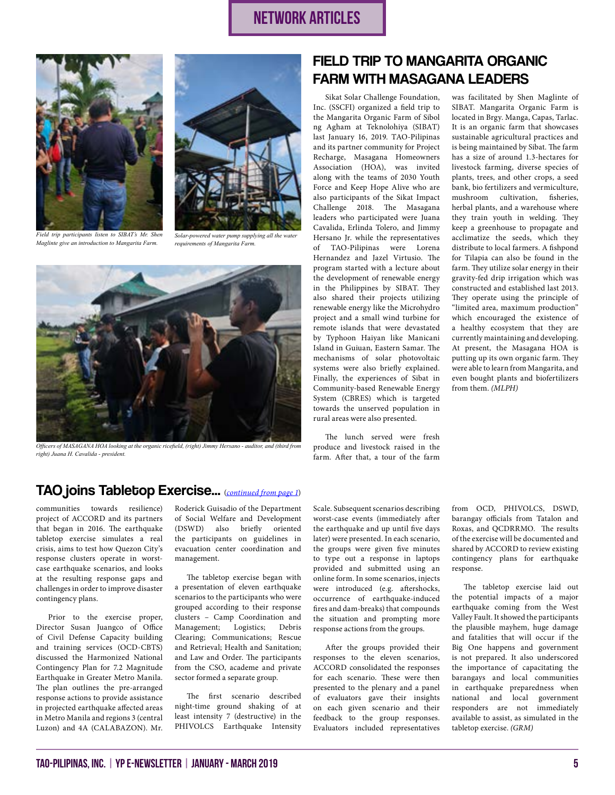# network ARTICLES

<span id="page-4-0"></span>



*Field trip participants listen to SIBAT's Mr. Shen Maglinte give an introduction to Mangarita Farm.*

*Solar-powered water pump supplying all the water requirements of Mangarita Farm.*



*Officers of MASAGANA HOA looking at the organic ricefield, (right) Jimmy Hersano - auditor, and (third from right) Juana H. Cavalida - president.*

## FIELD TRIP TO MANGARITA ORGANIC FARM WITH MASAGANA LEADERS

Sikat Solar Challenge Foundation, Inc. (SSCFI) organized a field trip to the Mangarita Organic Farm of Sibol ng Agham at Teknolohiya (SIBAT) last January 16, 2019. TAO-Pilipinas and its partner community for Project Recharge, Masagana Homeowners Association (HOA), was invited along with the teams of 2030 Youth Force and Keep Hope Alive who are also participants of the Sikat Impact Challenge 2018. The Masagana leaders who participated were Juana Cavalida, Erlinda Tolero, and Jimmy Hersano Jr. while the representatives of TAO-Pilipinas were Lorena Hernandez and Jazel Virtusio. The program started with a lecture about the development of renewable energy in the Philippines by SIBAT. They also shared their projects utilizing renewable energy like the Microhydro project and a small wind turbine for remote islands that were devastated by Typhoon Haiyan like Manicani Island in Guiuan, Eastern Samar. The mechanisms of solar photovoltaic systems were also briefly explained. Finally, the experiences of Sibat in Community-based Renewable Energy System (CBRES) which is targeted towards the unserved population in rural areas were also presented.

The lunch served were fresh produce and livestock raised in the farm. After that, a tour of the farm

was facilitated by Shen Maglinte of SIBAT. Mangarita Organic Farm is located in Brgy. Manga, Capas, Tarlac. It is an organic farm that showcases sustainable agricultural practices and is being maintained by Sibat. The farm has a size of around 1.3-hectares for livestock farming, diverse species of plants, trees, and other crops, a seed bank, bio fertilizers and vermiculture, mushroom cultivation, fisheries, herbal plants, and a warehouse where they train youth in welding. They keep a greenhouse to propagate and acclimatize the seeds, which they distribute to local farmers. A fishpond for Tilapia can also be found in the farm. They utilize solar energy in their gravity-fed drip irrigation which was constructed and established last 2013. They operate using the principle of "limited area, maximum production" which encouraged the existence of a healthy ecosystem that they are currently maintaining and developing. At present, the Masagana HOA is putting up its own organic farm. They were able to learn from Mangarita, and even bought plants and biofertilizers from them. *(MLPH)*

### TAO joins Tabletop Exercise... (*[continued from page 1](#page-0-0)*)

communities towards resilience) project of ACCORD and its partners that began in 2016. The earthquake tabletop exercise simulates a real crisis, aims to test how Quezon City's response clusters operate in worstcase earthquake scenarios, and looks at the resulting response gaps and challenges in order to improve disaster contingency plans.

Prior to the exercise proper, Director Susan Juangco of Office of Civil Defense Capacity building and training services (OCD-CBTS) discussed the Harmonized National Contingency Plan for 7.2 Magnitude Earthquake in Greater Metro Manila. The plan outlines the pre-arranged response actions to provide assistance in projected earthquake affected areas in Metro Manila and regions 3 (central Luzon) and 4A (CALABAZON). Mr. Roderick Guisadio of the Department of Social Welfare and Development (DSWD) also briefly oriented the participants on guidelines in evacuation center coordination and management.

The tabletop exercise began with a presentation of eleven earthquake scenarios to the participants who were grouped according to their response clusters – Camp Coordination and Management; Logistics; Debris Clearing; Communications; Rescue and Retrieval; Health and Sanitation; and Law and Order. The participants from the CSO, academe and private sector formed a separate group.

The first scenario described night-time ground shaking of at least intensity 7 (destructive) in the PHIVOLCS Earthquake Intensity Scale. Subsequent scenarios describing worst-case events (immediately after the earthquake and up until five days later) were presented. In each scenario, the groups were given five minutes to type out a response in laptops provided and submitted using an online form. In some scenarios, injects were introduced (e.g. aftershocks, occurrence of earthquake-induced fires and dam-breaks) that compounds the situation and prompting more response actions from the groups.

After the groups provided their responses to the eleven scenarios, ACCORD consolidated the responses for each scenario. These were then presented to the plenary and a panel of evaluators gave their insights on each given scenario and their feedback to the group responses. Evaluators included representatives

from OCD, PHIVOLCS, DSWD, barangay officials from Tatalon and Roxas, and QCDRRMO. The results of the exercise will be documented and shared by ACCORD to review existing contingency plans for earthquake response.

The tabletop exercise laid out the potential impacts of a major earthquake coming from the West Valley Fault. It showed the participants the plausible mayhem, huge damage and fatalities that will occur if the Big One happens and government is not prepared. It also underscored the importance of capacitating the barangays and local communities in earthquake preparedness when national and local government responders are not immediately available to assist, as simulated in the tabletop exercise. *(GRM)*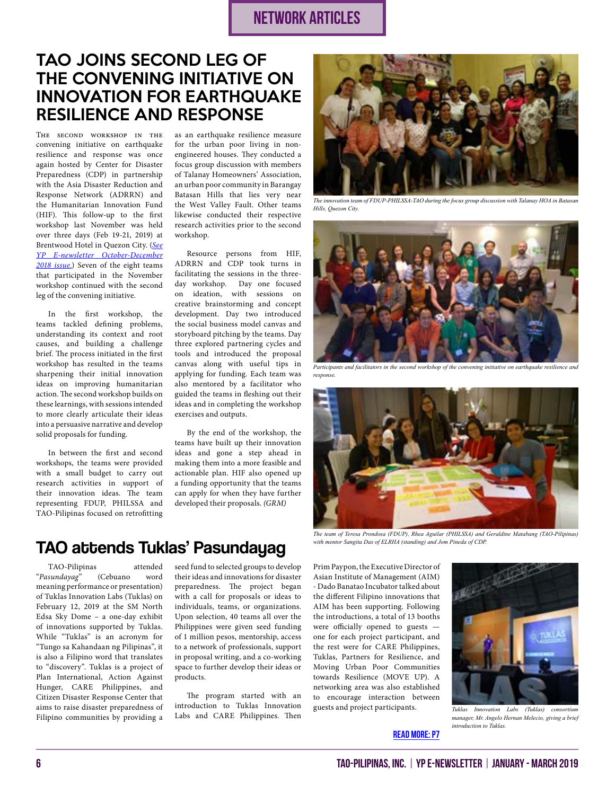# network ARTICLES

## <span id="page-5-0"></span>TAO JOINS SECOND LEG OF THE CONVENING INITIATIVE ON INNOVATION FOR EARTHQUAKE RESILIENCE AND RESPONSE

The second workshop in the convening initiative on earthquake resilience and response was once again hosted by Center for Disaster Preparedness (CDP) in partnership with the Asia Disaster Reduction and Response Network (ADRRN) and the Humanitarian Innovation Fund (HIF). This follow-up to the first workshop last November was held over three days (Feb 19-21, 2019) at Brentwood Hotel in Quezon City. (*[See](http://www.tao-pilipinas.org/ypp_files/2018ypenews_octdec.pdf) [YP E-newsletter October-December](http://www.tao-pilipinas.org/ypp_files/2018ypenews_octdec.pdf) [2018 issue.](http://www.tao-pilipinas.org/ypp_files/2018ypenews_octdec.pdf)*) Seven of the eight teams that participated in the November workshop continued with the second leg of the convening initiative.

In the first workshop, the teams tackled defining problems, understanding its context and root causes, and building a challenge brief. The process initiated in the first workshop has resulted in the teams sharpening their initial innovation ideas on improving humanitarian action. The second workshop builds on these learnings, with sessions intended to more clearly articulate their ideas into a persuasive narrative and develop solid proposals for funding.

In between the first and second workshops, the teams were provided with a small budget to carry out research activities in support of their innovation ideas. The team representing FDUP, PHILSSA and TAO-Pilipinas focused on retrofitting as an earthquake resilience measure for the urban poor living in nonengineered houses. They conducted a focus group discussion with members of Talanay Homeowners' Association, an urban poor community in Barangay Batasan Hills that lies very near the West Valley Fault. Other teams likewise conducted their respective research activities prior to the second workshop.

Resource persons from HIF, ADRRN and CDP took turns in facilitating the sessions in the threeday workshop. Day one focused on ideation, with sessions on creative brainstorming and concept development. Day two introduced the social business model canvas and storyboard pitching by the teams. Day three explored partnering cycles and tools and introduced the proposal canvas along with useful tips in applying for funding. Each team was also mentored by a facilitator who guided the teams in fleshing out their ideas and in completing the workshop exercises and outputs.

By the end of the workshop, the teams have built up their innovation ideas and gone a step ahead in making them into a more feasible and actionable plan. HIF also opened up a funding opportunity that the teams can apply for when they have further developed their proposals. *(GRM)*

# **TAO attends Tuklas' Pasundayag** *with mentor Sangita Das of ELRHA (standing) and Jom Pineda of CDP.*

TAO-Pilipinas attended<br>
sundayag" (Cebuano word "*Pasundayag*" (Cebuano word meaning performance or presentation) of Tuklas Innovation Labs (Tuklas) on February 12, 2019 at the SM North Edsa Sky Dome – a one-day exhibit of innovations supported by Tuklas. While "Tuklas" is an acronym for "Tungo sa Kahandaan ng Pilipinas", it is also a Filipino word that translates to "discovery". Tuklas is a project of Plan International, Action Against Hunger, CARE Philippines, and Citizen Disaster Response Center that aims to raise disaster preparedness of Filipino communities by providing a

seed fund to selected groups to develop their ideas and innovations for disaster preparedness. The project began with a call for proposals or ideas to individuals, teams, or organizations. Upon selection, 40 teams all over the Philippines were given seed funding of 1 million pesos, mentorship, access to a network of professionals, support in proposal writing, and a co-working space to further develop their ideas or products.

The program started with an introduction to Tuklas Innovation Labs and CARE Philippines. Then



*The innovation team of FDUP-PHILSSA-TAO during the focus group discussion with Talanay HOA in Batasan Hills, Quezon City.*



Participants and facilitators in the second workshop of the convening initiative on earthquake resilience and *response.*



*The team of Teresa Prondosa (FDUP), Rhea Aguilar (PHILSSA) and Geraldine Matabang (TAO-Pilipinas)* 

Prim Paypon, the Executive Director of Asian Institute of Management (AIM) - Dado Banatao Incubator talked about the different Filipino innovations that AIM has been supporting. Following the introductions, a total of 13 booths were officially opened to guests one for each project participant, and the rest were for CARE Philippines, Tuklas, Partners for Resilience, and Moving Urban Poor Communities towards Resilience (MOVE UP). A networking area was also established to encourage interaction between guests and project participants.



*Tuklas Innovation Labs (Tuklas) consortium manager, Mr. Angelo Hernan Melecio, giving a brief introduction to Tuklas.*

### [READ MORE: P7](#page-6-0)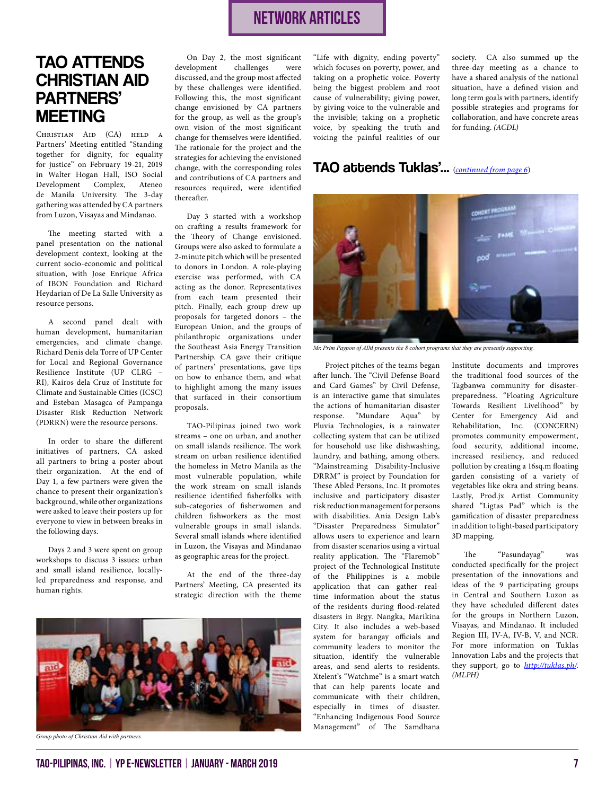## network ARTICLES

# <span id="page-6-0"></span>TAO ATTENDS CHRISTIAN AID PARTNERS' MEETING

Christian Aid (CA) held a Partners' Meeting entitled "Standing together for dignity, for equality for justice" on February 19-21, 2019 in Walter Hogan Hall, ISO Social Development Complex, Ateneo de Manila University. The 3-day gathering was attended by CA partners from Luzon, Visayas and Mindanao.

The meeting started with a panel presentation on the national development context, looking at the current socio-economic and political situation, with Jose Enrique Africa of IBON Foundation and Richard Heydarian of De La Salle University as resource persons.

A second panel dealt with human development, humanitarian emergencies, and climate change. Richard Denis dela Torre of UP Center for Local and Regional Governance Resilience Institute (UP CLRG – RI), Kairos dela Cruz of Institute for Climate and Sustainable Cities (ICSC) and Esteban Masagca of Pampanga Disaster Risk Reduction Network (PDRRN) were the resource persons.

In order to share the different initiatives of partners, CA asked all partners to bring a poster about their organization. At the end of Day 1, a few partners were given the chance to present their organization's background, while other organizations were asked to leave their posters up for everyone to view in between breaks in the following days.

Days 2 and 3 were spent on group workshops to discuss 3 issues: urban and small island resilience, locallyled preparedness and response, and human rights.

On Day 2, the most significant<br>development challenges were challenges were discussed, and the group most affected by these challenges were identified. Following this, the most significant change envisioned by CA partners for the group, as well as the group's own vision of the most significant change for themselves were identified. The rationale for the project and the strategies for achieving the envisioned change, with the corresponding roles and contributions of CA partners and resources required, were identified thereafter.

Day 3 started with a workshop on crafting a results framework for the Theory of Change envisioned. Groups were also asked to formulate a 2-minute pitch which will be presented to donors in London. A role-playing exercise was performed, with CA acting as the donor. Representatives from each team presented their pitch. Finally, each group drew up proposals for targeted donors – the European Union, and the groups of philanthropic organizations under the Southeast Asia Energy Transition Partnership. CA gave their critique of partners' presentations, gave tips on how to enhance them, and what to highlight among the many issues that surfaced in their consortium proposals.

TAO-Pilipinas joined two work streams – one on urban, and another on small islands resilience. The work stream on urban resilience identified the homeless in Metro Manila as the most vulnerable population, while the work stream on small islands resilience identified fisherfolks with sub-categories of fisherwomen and children fishworkers as the most vulnerable groups in small islands. Several small islands where identified in Luzon, the Visayas and Mindanao as geographic areas for the project.

At the end of the three-day Partners' Meeting, CA presented its strategic direction with the theme



*Group photo of Christian Aid with partners.*

"Life with dignity, ending poverty" which focuses on poverty, power, and taking on a prophetic voice. Poverty being the biggest problem and root cause of vulnerability; giving power, by giving voice to the vulnerable and the invisible; taking on a prophetic voice, by speaking the truth and voicing the painful realities of our

society. CA also summed up the three-day meeting as a chance to have a shared analysis of the national situation, have a defined vision and long term goals with partners, identify possible strategies and programs for collaboration, and have concrete areas for funding. *(ACDL)*

### TAO attends Tuklas'... (*[continued from page 6](#page-5-0)*)



*Mr. Prim Paypon of AIM presents the 8 cohort programs that they are presently supporting.*

Project pitches of the teams began after lunch. The "Civil Defense Board and Card Games" by Civil Defense, is an interactive game that simulates the actions of humanitarian disaster response. "Mundare Aqua" by Pluvia Technologies, is a rainwater collecting system that can be utilized for household use like dishwashing, laundry, and bathing, among others. "Mainstreaming Disability-Inclusive DRRM" is project by Foundation for These Abled Persons, Inc. It promotes inclusive and participatory disaster risk reduction management for persons with disabilities. Ania Design Lab's "Disaster Preparedness Simulator" allows users to experience and learn from disaster scenarios using a virtual reality application. The "Flaremob" project of the Technological Institute of the Philippines is a mobile application that can gather realtime information about the status of the residents during flood-related disasters in Brgy. Nangka, Marikina City. It also includes a web-based system for barangay officials and community leaders to monitor the situation, identify the vulnerable areas, and send alerts to residents. Xtelent's "Watchme" is a smart watch that can help parents locate and communicate with their children, especially in times of disaster. "Enhancing Indigenous Food Source Management" of The Samdhana

Institute documents and improves the traditional food sources of the Tagbanwa community for disasterpreparedness. "Floating Agriculture Towards Resilient Livelihood" by Center for Emergency Aid and Rehabilitation, Inc. (CONCERN) promotes community empowerment, food security, additional income, increased resiliency, and reduced pollution by creating a 16sq.m floating garden consisting of a variety of vegetables like okra and string beans. Lastly, Prod.jx Artist Community shared "Ligtas Pad" which is the gamification of disaster preparedness in addition to light-based participatory 3D mapping.

The "Pasundayag" was conducted specifically for the project presentation of the innovations and ideas of the 9 participating groups in Central and Southern Luzon as they have scheduled different dates for the groups in Northern Luzon, Visayas, and Mindanao. It included Region III, IV-A, IV-B, V, and NCR. For more information on Tuklas Innovation Labs and the projects that they support, go to *<http://tuklas.ph/>*. *(MLPH)*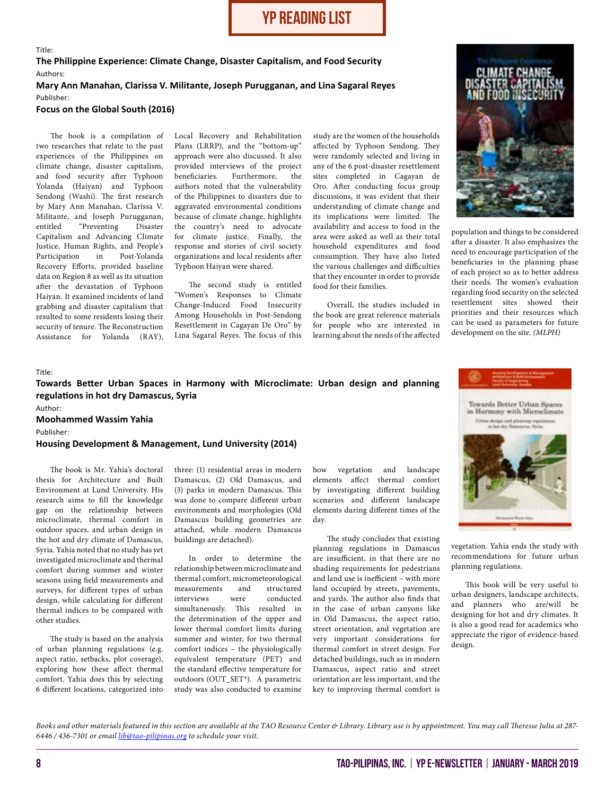## yp reading list

#### <span id="page-7-0"></span>Title: **The Philippine Experience: Climate Change, Disaster Capitalism, and Food Security** Authors: **Mary Ann Manahan, Clarissa V. Militante, Joseph Purugganan, and Lina Sagaral Reyes**

Publisher:

### **Focus on the Global South (2016)**

The book is a compilation of two researches that relate to the past experiences of the Philippines on climate change, disaster capitalism, and food security after Typhoon Yolanda (Haiyan) and Typhoon Sendong (Washi). The first research by Mary Ann Manahan, Clarissa V. Militante, and Joseph Purugganan, entitled "Preventing Disaster Capitalism and Advancing Climate Justice, Human Rights, and People's Participation in Post-Yolanda Recovery Efforts, provided baseline data on Region 8 as well as its situation after the devastation of Typhoon Haiyan. It examined incidents of land grabbing and disaster capitalism that resulted to some residents losing their security of tenure. The Reconstruction Assistance for Yolanda (RAY),

Local Recovery and Rehabilitation Plans (LRRP), and the "bottom-up" approach were also discussed. It also provided interviews of the project<br>beneficiaries. Furthermore, the Furthermore, the authors noted that the vulnerability of the Philippines to disasters due to aggravated environmental conditions because of climate change, highlights the country's need to advocate for climate justice. Finally, the response and stories of civil society organizations and local residents after Typhoon Haiyan were shared.

The second study is entitled "Women's Responses to Climate Change-Induced Food Insecurity Among Households in Post-Sendong Resettlement in Cagayan De Oro" by Lina Sagaral Reyes. The focus of this

study are the women of the households affected by Typhoon Sendong. They were randomly selected and living in any of the 6 post-disaster resettlement sites completed in Cagayan de Oro. After conducting focus group discussions, it was evident that their understanding of climate change and its implications were limited. The availability and access to food in the area were asked as well as their total household expenditures and food consumption. They have also listed the various challenges and difficulties that they encounter in order to provide food for their families.

Overall, the studies included in the book are great reference materials for people who are interested in learning about the needs of the affected



population and things to be considered after a disaster. It also emphasizes the need to encourage participation of the beneficiaries in the planning phase of each project so as to better address their needs. The women's evaluation regarding food security on the selected resettlement sites showed their priorities and their resources which can be used as parameters for future development on the site. *(MLPH)*

#### Title:

#### **Towards Better Urban Spaces in Harmony with Microclimate: Urban design and planning regulations in hot dry Damascus, Syria**

Author:

**Moohammed Wassim Yahia**

Publisher:

#### **Housing Development & Management, Lund University (2014)**

The book is Mr. Yahia's doctoral thesis for Architecture and Built Environment at Lund University. His research aims to fill the knowledge gap on the relationship between microclimate, thermal comfort in outdoor spaces, and urban design in the hot and dry climate of Damascus, Syria. Yahia noted that no study has yet investigated microclimate and thermal comfort during summer and winter seasons using field measurements and surveys, for different types of urban design, while calculating for different thermal indices to be compared with other studies.

The study is based on the analysis of urban planning regulations (e.g. aspect ratio, setbacks, plot coverage), exploring how these affect thermal comfort. Yahia does this by selecting 6 different locations, categorized into

three: (1) residential areas in modern Damascus, (2) Old Damascus, and (3) parks in modern Damascus. This was done to compare different urban environments and morphologies (Old Damascus building geometries are attached, while modern Damascus buildings are detached).

In order to determine the relationship between microclimate and thermal comfort, micrometeorological measurements and structured interviews were conducted simultaneously. This resulted in the determination of the upper and lower thermal comfort limits during summer and winter, for two thermal comfort indices – the physiologically equivalent temperature (PET) and the standard effective temperature for outdoors (OUT\_SET\*). A parametric study was also conducted to examine

how vegetation and landscape elements affect thermal comfort by investigating different building scenarios and different landscape elements during different times of the day.

The study concludes that existing planning regulations in Damascus are insufficient, in that there are no shading requirements for pedestrians and land use is inefficient – with more land occupied by streets, pavements, and yards. The author also finds that in the case of urban canyons like in Old Damascus, the aspect ratio, street orientation, and vegetation are very important considerations for thermal comfort in street design. For detached buildings, such as in modern Damascus, aspect ratio and street orientation are less important, and the key to improving thermal comfort is



vegetation. Yahia ends the study with recommendations for future urban planning regulations.

This book will be very useful to urban designers, landscape architects, and planners who are/will be designing for hot and dry climates. It is also a good read for academics who appreciate the rigor of evidence-based design.

*Books and other materials featured in this section are available at the TAO Resource Center & Library. Library use is by appointment. You may call Theresse Julia at 287- 6446 / 436-7301 or email [lib@tao-pilipinas.org](mailto:lib%40tao-pilipinas.org?subject=Schedule%20of%20Appointment) to schedule your visit.*